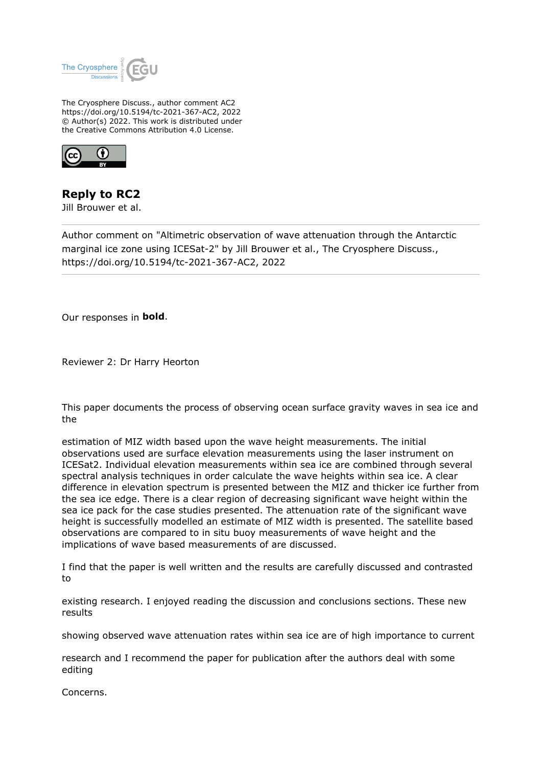

The Cryosphere Discuss., author comment AC2 https://doi.org/10.5194/tc-2021-367-AC2, 2022 © Author(s) 2022. This work is distributed under the Creative Commons Attribution 4.0 License.



**Reply to RC2**

Jill Brouwer et al.

Author comment on "Altimetric observation of wave attenuation through the Antarctic marginal ice zone using ICESat-2" by Jill Brouwer et al., The Cryosphere Discuss., https://doi.org/10.5194/tc-2021-367-AC2, 2022

Our responses in **bold**.

Reviewer 2: Dr Harry Heorton

This paper documents the process of observing ocean surface gravity waves in sea ice and the

estimation of MIZ width based upon the wave height measurements. The initial observations used are surface elevation measurements using the laser instrument on ICESat2. Individual elevation measurements within sea ice are combined through several spectral analysis techniques in order calculate the wave heights within sea ice. A clear difference in elevation spectrum is presented between the MIZ and thicker ice further from the sea ice edge. There is a clear region of decreasing significant wave height within the sea ice pack for the case studies presented. The attenuation rate of the significant wave height is successfully modelled an estimate of MIZ width is presented. The satellite based observations are compared to in situ buoy measurements of wave height and the implications of wave based measurements of are discussed.

I find that the paper is well written and the results are carefully discussed and contrasted to

existing research. I enjoyed reading the discussion and conclusions sections. These new results

showing observed wave attenuation rates within sea ice are of high importance to current

research and I recommend the paper for publication after the authors deal with some editing

Concerns.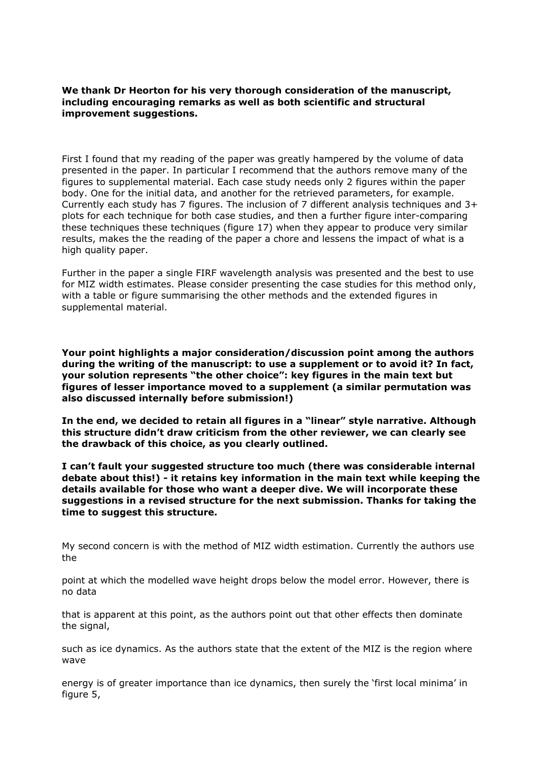**We thank Dr Heorton for his very thorough consideration of the manuscript, including encouraging remarks as well as both scientific and structural improvement suggestions.**

First I found that my reading of the paper was greatly hampered by the volume of data presented in the paper. In particular I recommend that the authors remove many of the figures to supplemental material. Each case study needs only 2 figures within the paper body. One for the initial data, and another for the retrieved parameters, for example. Currently each study has 7 figures. The inclusion of 7 different analysis techniques and 3+ plots for each technique for both case studies, and then a further figure inter-comparing these techniques these techniques (figure 17) when they appear to produce very similar results, makes the the reading of the paper a chore and lessens the impact of what is a high quality paper.

Further in the paper a single FIRF wavelength analysis was presented and the best to use for MIZ width estimates. Please consider presenting the case studies for this method only, with a table or figure summarising the other methods and the extended figures in supplemental material.

**Your point highlights a major consideration/discussion point among the authors during the writing of the manuscript: to use a supplement or to avoid it? In fact, your solution represents "the other choice": key figures in the main text but figures of lesser importance moved to a supplement (a similar permutation was also discussed internally before submission!)** 

**In the end, we decided to retain all figures in a "linear" style narrative. Although this structure didn't draw criticism from the other reviewer, we can clearly see the drawback of this choice, as you clearly outlined.** 

**I can't fault your suggested structure too much (there was considerable internal debate about this!) - it retains key information in the main text while keeping the details available for those who want a deeper dive. We will incorporate these suggestions in a revised structure for the next submission. Thanks for taking the time to suggest this structure.** 

My second concern is with the method of MIZ width estimation. Currently the authors use the

point at which the modelled wave height drops below the model error. However, there is no data

that is apparent at this point, as the authors point out that other effects then dominate the signal,

such as ice dynamics. As the authors state that the extent of the MIZ is the region where wave

energy is of greater importance than ice dynamics, then surely the 'first local minima' in figure 5,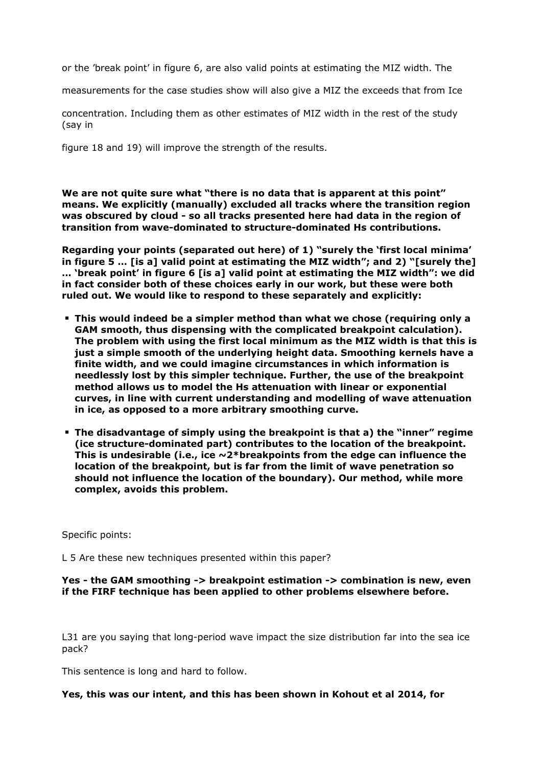or the 'break point' in figure 6, are also valid points at estimating the MIZ width. The

measurements for the case studies show will also give a MIZ the exceeds that from Ice

concentration. Including them as other estimates of MIZ width in the rest of the study (say in

figure 18 and 19) will improve the strength of the results.

**We are not quite sure what "there is no data that is apparent at this point" means. We explicitly (manually) excluded all tracks where the transition region was obscured by cloud - so all tracks presented here had data in the region of transition from wave-dominated to structure-dominated Hs contributions.** 

**Regarding your points (separated out here) of 1) "surely the 'first local minima' in figure 5 … [is a] valid point at estimating the MIZ width"; and 2) "[surely the] … 'break point' in figure 6 [is a] valid point at estimating the MIZ width": we did in fact consider both of these choices early in our work, but these were both ruled out. We would like to respond to these separately and explicitly:**

- **This would indeed be a simpler method than what we chose (requiring only a GAM smooth, thus dispensing with the complicated breakpoint calculation). The problem with using the first local minimum as the MIZ width is that this is just a simple smooth of the underlying height data. Smoothing kernels have a finite width, and we could imagine circumstances in which information is needlessly lost by this simpler technique. Further, the use of the breakpoint method allows us to model the Hs attenuation with linear or exponential curves, in line with current understanding and modelling of wave attenuation in ice, as opposed to a more arbitrary smoothing curve.**
- **The disadvantage of simply using the breakpoint is that a) the "inner" regime (ice structure-dominated part) contributes to the location of the breakpoint. This is undesirable (i.e., ice ~2\*breakpoints from the edge can influence the location of the breakpoint, but is far from the limit of wave penetration so should not influence the location of the boundary). Our method, while more complex, avoids this problem.**

Specific points:

L 5 Are these new techniques presented within this paper?

#### **Yes - the GAM smoothing -> breakpoint estimation -> combination is new, even if the FIRF technique has been applied to other problems elsewhere before.**

L31 are you saying that long-period wave impact the size distribution far into the sea ice pack?

This sentence is long and hard to follow.

## **Yes, this was our intent, and this has been shown in Kohout et al 2014, for**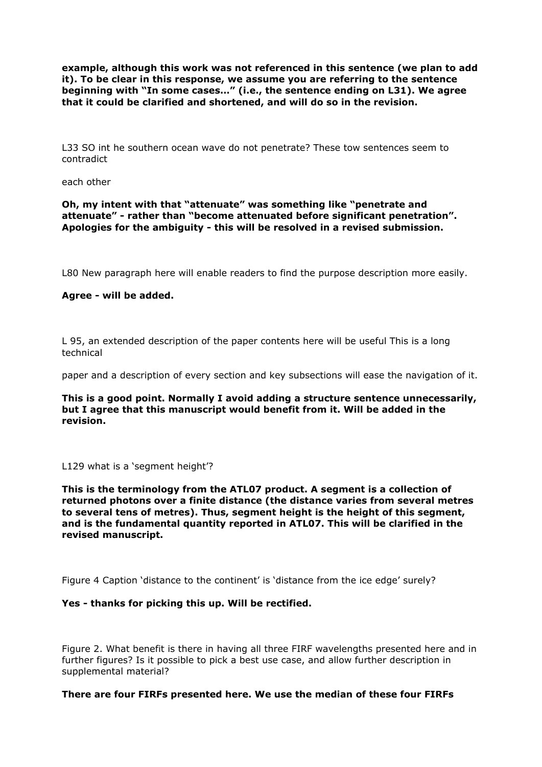**example, although this work was not referenced in this sentence (we plan to add it). To be clear in this response, we assume you are referring to the sentence beginning with "In some cases…" (i.e., the sentence ending on L31). We agree that it could be clarified and shortened, and will do so in the revision.**

L33 SO int he southern ocean wave do not penetrate? These tow sentences seem to contradict

each other

**Oh, my intent with that "attenuate" was something like "penetrate and attenuate" - rather than "become attenuated before significant penetration". Apologies for the ambiguity - this will be resolved in a revised submission.**

L80 New paragraph here will enable readers to find the purpose description more easily.

## **Agree - will be added.**

L 95, an extended description of the paper contents here will be useful This is a long technical

paper and a description of every section and key subsections will ease the navigation of it.

**This is a good point. Normally I avoid adding a structure sentence unnecessarily, but I agree that this manuscript would benefit from it. Will be added in the revision.**

#### L129 what is a 'segment height'?

**This is the terminology from the ATL07 product. A segment is a collection of returned photons over a finite distance (the distance varies from several metres to several tens of metres). Thus, segment height is the height of this segment, and is the fundamental quantity reported in ATL07. This will be clarified in the revised manuscript.**

Figure 4 Caption 'distance to the continent' is 'distance from the ice edge' surely?

#### **Yes - thanks for picking this up. Will be rectified.**

Figure 2. What benefit is there in having all three FIRF wavelengths presented here and in further figures? Is it possible to pick a best use case, and allow further description in supplemental material?

#### **There are four FIRFs presented here. We use the median of these four FIRFs**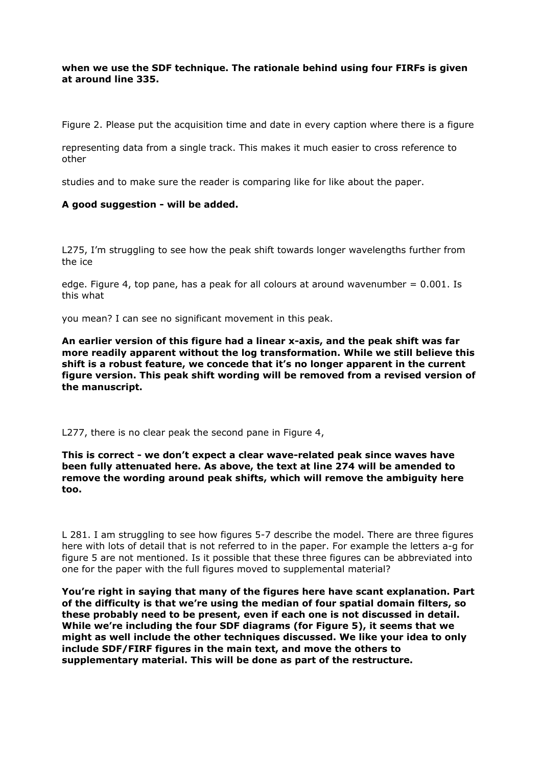# **when we use the SDF technique. The rationale behind using four FIRFs is given at around line 335.**

Figure 2. Please put the acquisition time and date in every caption where there is a figure

representing data from a single track. This makes it much easier to cross reference to other

studies and to make sure the reader is comparing like for like about the paper.

#### **A good suggestion - will be added.**

L275, I'm struggling to see how the peak shift towards longer wavelengths further from the ice

edge. Figure 4, top pane, has a peak for all colours at around wavenumber  $= 0.001$ . Is this what

you mean? I can see no significant movement in this peak.

**An earlier version of this figure had a linear x-axis, and the peak shift was far more readily apparent without the log transformation. While we still believe this shift is a robust feature, we concede that it's no longer apparent in the current figure version. This peak shift wording will be removed from a revised version of the manuscript.**

L277, there is no clear peak the second pane in Figure 4,

#### **This is correct - we don't expect a clear wave-related peak since waves have been fully attenuated here. As above, the text at line 274 will be amended to remove the wording around peak shifts, which will remove the ambiguity here too.**

L 281. I am struggling to see how figures 5-7 describe the model. There are three figures here with lots of detail that is not referred to in the paper. For example the letters a-g for figure 5 are not mentioned. Is it possible that these three figures can be abbreviated into one for the paper with the full figures moved to supplemental material?

**You're right in saying that many of the figures here have scant explanation. Part of the difficulty is that we're using the median of four spatial domain filters, so these probably need to be present, even if each one is not discussed in detail. While we're including the four SDF diagrams (for Figure 5), it seems that we might as well include the other techniques discussed. We like your idea to only include SDF/FIRF figures in the main text, and move the others to supplementary material. This will be done as part of the restructure.**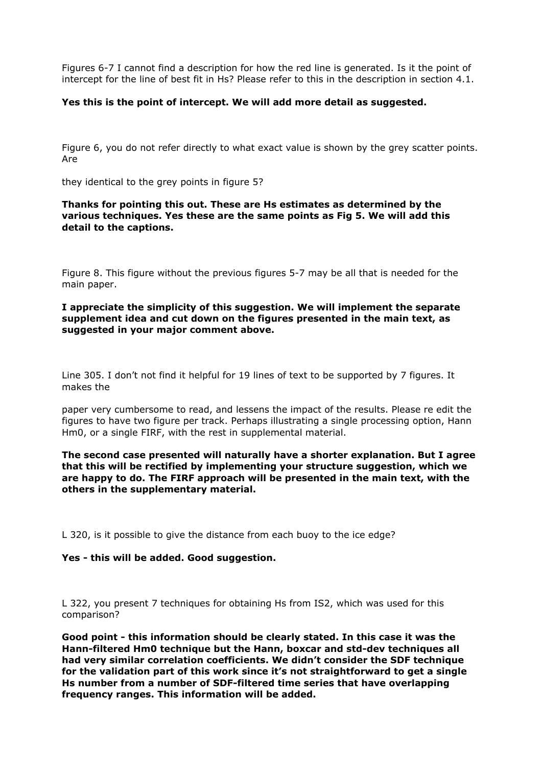Figures 6-7 I cannot find a description for how the red line is generated. Is it the point of intercept for the line of best fit in Hs? Please refer to this in the description in section 4.1.

## **Yes this is the point of intercept. We will add more detail as suggested.**

Figure 6, you do not refer directly to what exact value is shown by the grey scatter points. Are

they identical to the grey points in figure 5?

## **Thanks for pointing this out. These are Hs estimates as determined by the various techniques. Yes these are the same points as Fig 5. We will add this detail to the captions.**

Figure 8. This figure without the previous figures 5-7 may be all that is needed for the main paper.

**I appreciate the simplicity of this suggestion. We will implement the separate supplement idea and cut down on the figures presented in the main text, as suggested in your major comment above.**

Line 305. I don't not find it helpful for 19 lines of text to be supported by 7 figures. It makes the

paper very cumbersome to read, and lessens the impact of the results. Please re edit the figures to have two figure per track. Perhaps illustrating a single processing option, Hann Hm0, or a single FIRF, with the rest in supplemental material.

**The second case presented will naturally have a shorter explanation. But I agree that this will be rectified by implementing your structure suggestion, which we are happy to do. The FIRF approach will be presented in the main text, with the others in the supplementary material.** 

L 320, is it possible to give the distance from each buoy to the ice edge?

#### **Yes - this will be added. Good suggestion.**

L 322, you present 7 techniques for obtaining Hs from IS2, which was used for this comparison?

**Good point - this information should be clearly stated. In this case it was the Hann-filtered Hm0 technique but the Hann, boxcar and std-dev techniques all had very similar correlation coefficients. We didn't consider the SDF technique for the validation part of this work since it's not straightforward to get a single Hs number from a number of SDF-filtered time series that have overlapping frequency ranges. This information will be added.**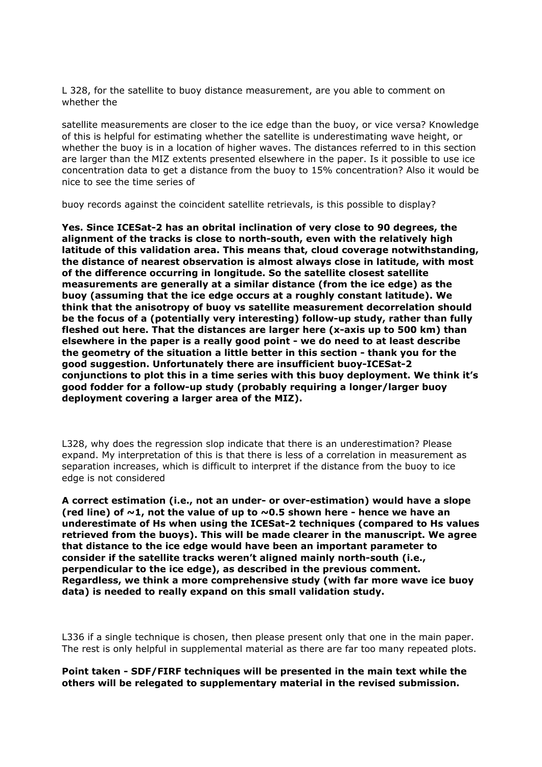L 328, for the satellite to buoy distance measurement, are you able to comment on whether the

satellite measurements are closer to the ice edge than the buoy, or vice versa? Knowledge of this is helpful for estimating whether the satellite is underestimating wave height, or whether the buoy is in a location of higher waves. The distances referred to in this section are larger than the MIZ extents presented elsewhere in the paper. Is it possible to use ice concentration data to get a distance from the buoy to 15% concentration? Also it would be nice to see the time series of

buoy records against the coincident satellite retrievals, is this possible to display?

**Yes. Since ICESat-2 has an obrital inclination of very close to 90 degrees, the alignment of the tracks is close to north-south, even with the relatively high latitude of this validation area. This means that, cloud coverage notwithstanding, the distance of nearest observation is almost always close in latitude, with most of the difference occurring in longitude. So the satellite closest satellite measurements are generally at a similar distance (from the ice edge) as the buoy (assuming that the ice edge occurs at a roughly constant latitude). We think that the anisotropy of buoy vs satellite measurement decorrelation should be the focus of a (potentially very interesting) follow-up study, rather than fully fleshed out here. That the distances are larger here (x-axis up to 500 km) than elsewhere in the paper is a really good point - we do need to at least describe the geometry of the situation a little better in this section - thank you for the good suggestion. Unfortunately there are insufficient buoy-ICESat-2 conjunctions to plot this in a time series with this buoy deployment. We think it's good fodder for a follow-up study (probably requiring a longer/larger buoy deployment covering a larger area of the MIZ).** 

L328, why does the regression slop indicate that there is an underestimation? Please expand. My interpretation of this is that there is less of a correlation in measurement as separation increases, which is difficult to interpret if the distance from the buoy to ice edge is not considered

**A correct estimation (i.e., not an under- or over-estimation) would have a slope (red line) of ~1, not the value of up to ~0.5 shown here - hence we have an underestimate of Hs when using the ICESat-2 techniques (compared to Hs values retrieved from the buoys). This will be made clearer in the manuscript. We agree that distance to the ice edge would have been an important parameter to consider if the satellite tracks weren't aligned mainly north-south (i.e., perpendicular to the ice edge), as described in the previous comment. Regardless, we think a more comprehensive study (with far more wave ice buoy data) is needed to really expand on this small validation study.**

L336 if a single technique is chosen, then please present only that one in the main paper. The rest is only helpful in supplemental material as there are far too many repeated plots.

**Point taken - SDF/FIRF techniques will be presented in the main text while the others will be relegated to supplementary material in the revised submission.**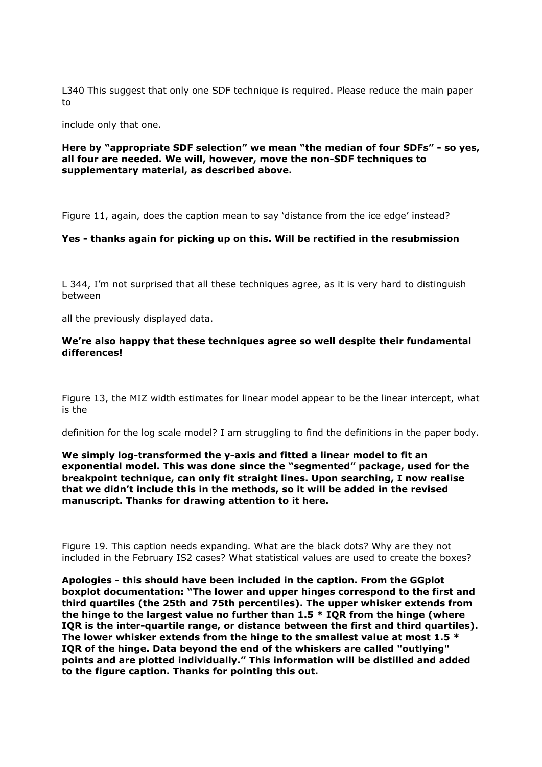L340 This suggest that only one SDF technique is required. Please reduce the main paper to

include only that one.

#### **Here by "appropriate SDF selection" we mean "the median of four SDFs" - so yes, all four are needed. We will, however, move the non-SDF techniques to supplementary material, as described above.**

Figure 11, again, does the caption mean to say 'distance from the ice edge' instead?

## **Yes - thanks again for picking up on this. Will be rectified in the resubmission**

L 344, I'm not surprised that all these techniques agree, as it is very hard to distinguish between

all the previously displayed data.

## **We're also happy that these techniques agree so well despite their fundamental differences!**

Figure 13, the MIZ width estimates for linear model appear to be the linear intercept, what is the

definition for the log scale model? I am struggling to find the definitions in the paper body.

**We simply log-transformed the y-axis and fitted a linear model to fit an exponential model. This was done since the "segmented" package, used for the breakpoint technique, can only fit straight lines. Upon searching, I now realise that we didn't include this in the methods, so it will be added in the revised manuscript. Thanks for drawing attention to it here.**

Figure 19. This caption needs expanding. What are the black dots? Why are they not included in the February IS2 cases? What statistical values are used to create the boxes?

**Apologies - this should have been included in the caption. From the GGplot boxplot documentation: "The lower and upper hinges correspond to the first and third quartiles (the 25th and 75th percentiles). The upper whisker extends from the hinge to the largest value no further than 1.5 \* IQR from the hinge (where IQR is the inter-quartile range, or distance between the first and third quartiles). The lower whisker extends from the hinge to the smallest value at most 1.5 \* IQR of the hinge. Data beyond the end of the whiskers are called "outlying" points and are plotted individually." This information will be distilled and added to the figure caption. Thanks for pointing this out.**